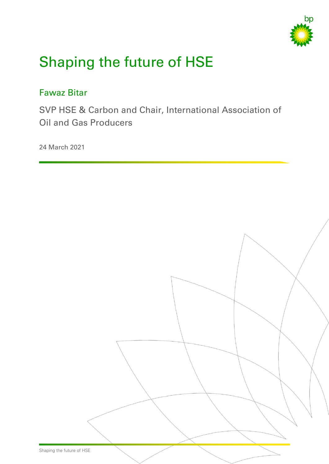

# Shaping the future of HSE

# Fawaz Bitar

SVP HSE & Carbon and Chair, International Association of Oil and Gas Producers

24 March 2021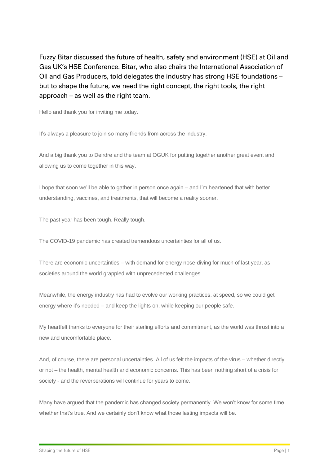Fuzzy Bitar discussed the future of health, safety and environment (HSE) at Oil and Gas UK's HSE Conference. Bitar, who also chairs the International Association of Oil and Gas Producers, told delegates the industry has strong HSE foundations – but to shape the future, we need the right concept, the right tools, the right approach – as well as the right team.

Hello and thank you for inviting me today.

It's always a pleasure to join so many friends from across the industry.

And a big thank you to Deirdre and the team at OGUK for putting together another great event and allowing us to come together in this way.

I hope that soon we'll be able to gather in person once again – and I'm heartened that with better understanding, vaccines, and treatments, that will become a reality sooner.

The past year has been tough. Really tough.

The COVID-19 pandemic has created tremendous uncertainties for all of us.

There are economic uncertainties – with demand for energy nose-diving for much of last year, as societies around the world grappled with unprecedented challenges.

Meanwhile, the energy industry has had to evolve our working practices, at speed, so we could get energy where it's needed – and keep the lights on, while keeping our people safe.

My heartfelt thanks to everyone for their sterling efforts and commitment, as the world was thrust into a new and uncomfortable place.

And, of course, there are personal uncertainties. All of us felt the impacts of the virus – whether directly or not – the health, mental health and economic concerns. This has been nothing short of a crisis for society - and the reverberations will continue for years to come.

Many have argued that the pandemic has changed society permanently. We won't know for some time whether that's true. And we certainly don't know what those lasting impacts will be.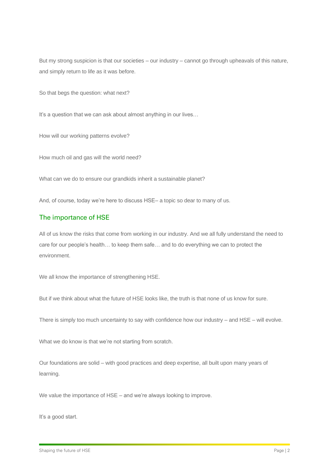But my strong suspicion is that our societies – our industry – cannot go through upheavals of this nature, and simply return to life as it was before.

So that begs the question: what next?

It's a question that we can ask about almost anything in our lives...

How will our working patterns evolve?

How much oil and gas will the world need?

What can we do to ensure our grandkids inherit a sustainable planet?

And, of course, today we're here to discuss HSE– a topic so dear to many of us.

#### The importance of HSE

All of us know the risks that come from working in our industry. And we all fully understand the need to care for our people's health… to keep them safe… and to do everything we can to protect the environment.

We all know the importance of strengthening HSE.

But if we think about what the future of HSE looks like, the truth is that none of us know for sure.

There is simply too much uncertainty to say with confidence how our industry – and HSE – will evolve.

What we do know is that we're not starting from scratch.

Our foundations are solid – with good practices and deep expertise, all built upon many years of learning.

We value the importance of HSE – and we're always looking to improve.

It's a good start.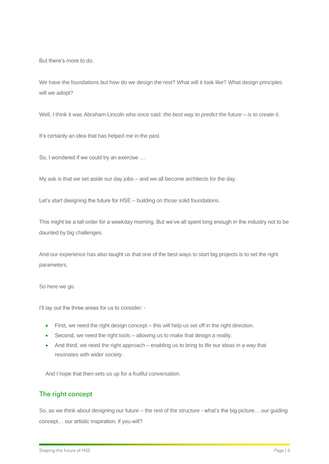But there's more to do.

We have the foundations but how do we design the rest? What will it look like? What design principles will we adopt?

Well, I think it was Abraham Lincoln who once said: *the best way to predict the future – is to create it*.

It's certainly an idea that has helped me in the past.

So, I wondered if we could try an exercise …

My ask is that we set aside our day jobs – and we all become architects for the day.

Let's start designing the future for HSE – building on those solid foundations.

This might be a tall order for a weekday morning. But we've all spent long enough in the industry not to be daunted by big challenges.

And our experience has also taught us that one of the best ways to start big projects is to set the right parameters.

So here we go.

I'll lay out the three areas for us to consider: -

- First, we need the right design concept this will help us set off in the right direction.
- Second, we need the right tools allowing us to make that design a reality.
- And third, we need the right approach enabling us to bring to life our ideas in a way that resonates with wider society.

And I hope that then sets us up for a fruitful conversation.

#### The right concept

So, as we think about designing our future – the rest of the structure - what's the big picture… our guiding concept… our artistic inspiration, if you will?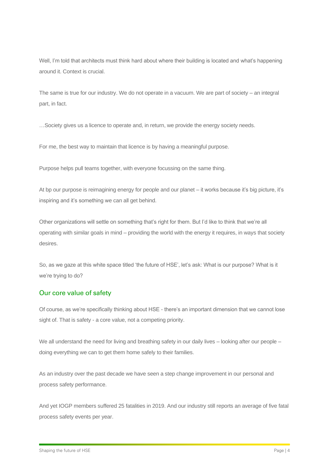Well, I'm told that architects must think hard about where their building is located and what's happening around it. Context is crucial.

The same is true for our industry. We do not operate in a vacuum. We are part of society – an integral part, in fact.

…Society gives us a licence to operate and, in return, we provide the energy society needs.

For me, the best way to maintain that licence is by having a meaningful purpose.

Purpose helps pull teams together, with everyone focussing on the same thing.

At bp our purpose is reimagining energy for people and our planet – it works because it's big picture, it's inspiring and it's something we can all get behind.

Other organizations will settle on something that's right for them. But I'd like to think that we're all operating with similar goals in mind – providing the world with the energy it requires, in ways that society desires.

So, as we gaze at this white space titled 'the future of HSE', let's ask: What is our purpose? What is it we're trying to do?

### Our core value of safety

Of course, as we're specifically thinking about HSE - there's an important dimension that we cannot lose sight of. That is safety - a core value, not a competing priority.

We all understand the need for living and breathing safety in our daily lives – looking after our people – doing everything we can to get them home safely to their families.

As an industry over the past decade we have seen a step change improvement in our personal and process safety performance.

And yet IOGP members suffered 25 fatalities in 2019. And our industry still reports an average of five fatal process safety events per year.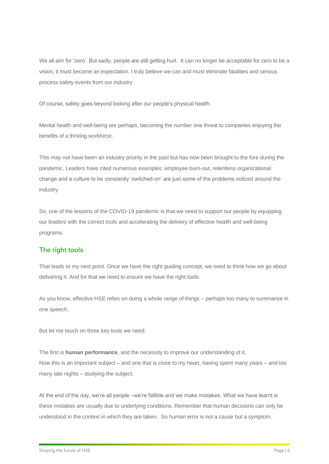We all aim for 'zero'. But sadly, people are still getting hurt. It can no longer be acceptable for zero to be a vision, it must become an expectation. I truly believe we can and must eliminate fatalities and serious process safety events from our industry.

Of course, safety goes beyond looking after our people's physical health.

Mental health and well-being are perhaps, becoming the number one threat to companies enjoying the benefits of a thriving workforce.

This may not have been an industry priority in the past but has now been brought to the fore during the pandemic. Leaders have cited numerous examples: employee burn-out, relentless organizational change and a culture to be constantly 'switched-on' are just some of the problems noticed around the industry.

So, one of the lessons of the COVID-19 pandemic is that we need to support our people by equipping our leaders with the correct tools and accelerating the delivery of effective health and well-being programs.

### The right tools

That leads to my next point. Once we have the right guiding concept, we need to think how we go about delivering it. And for that we need to ensure we have the right tools.

As you know, effective HSE relies on doing a whole range of things – perhaps too many to summarise in one speech.

But let me touch on three key tools we need:

The first is **human performance**, and the necessity to improve our understanding of it. Now this is an important subject – and one that is close to my heart, having spent many years – and too many late nights – studying the subject.

At the end of the day, we're all people –we're fallible and we make mistakes. What we have learnt is these mistakes are usually due to underlying conditions. Remember that human decisions can only be understood in the context in which they are taken. So human error is not a cause but a symptom.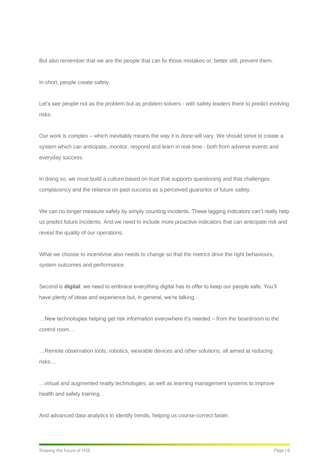But also remember that we are the people that can fix those mistakes or, better still, prevent them.

In short, people create safety.

Let's see people not as the problem but as problem-solvers - with safety leaders there to predict evolving risks.

Our work is complex – which inevitably means the way it is done will vary. We should strive to create a system which can anticipate, monitor, respond and learn in real-time - both from adverse events and everyday success.

In doing so, we must build a culture based on trust that supports questioning and that challenges complacency and the reliance on past success as a perceived guarantor of future safety.

We can no longer measure safety by simply counting incidents. These lagging indicators can't really help us predict future incidents. And we need to include more proactive indicators that can anticipate risk and reveal the quality of our operations.

What we choose to incentivise also needs to change so that the metrics drive the right behaviours, system outcomes and performance.

Second is **digital**: we need to embrace everything digital has to offer to keep our people safe. You'll have plenty of ideas and experience but, in general, we're talking…

…New technologies helping get risk information everywhere it's needed – from the boardroom to the control room…

…Remote observation tools, robotics, wearable devices and other solutions, all aimed at reducing risks…

…virtual and augmented reality technologies, as well as learning management systems to improve health and safety training…

And advanced data analytics to identify trends, helping us course-correct faster.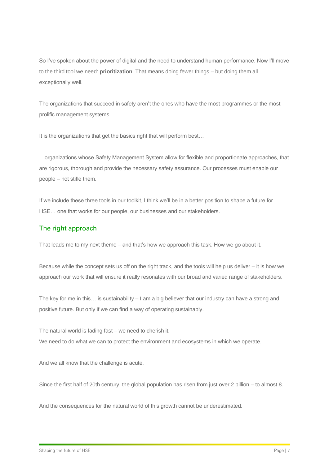So I've spoken about the power of digital and the need to understand human performance. Now I'll move to the third tool we need: **prioritization**. That means doing fewer things – but doing them all exceptionally well.

The organizations that succeed in safety aren't the ones who have the most programmes or the most prolific management systems.

It is the organizations that get the basics right that will perform best…

…organizations whose Safety Management System allow for flexible and proportionate approaches, that are rigorous, thorough and provide the necessary safety assurance. Our processes must enable our people – not stifle them.

If we include these three tools in our toolkit, I think we'll be in a better position to shape a future for HSE… one that works for our people, our businesses and our stakeholders.

## The right approach

That leads me to my next theme – and that's how we approach this task. How we go about it.

Because while the concept sets us off on the right track, and the tools will help us deliver – it is how we approach our work that will ensure it really resonates with our broad and varied range of stakeholders.

The key for me in this… is sustainability – I am a big believer that our industry can have a strong and positive future. But only if we can find a way of operating sustainably.

The natural world is fading fast – we need to cherish it.

We need to do what we can to protect the environment and ecosystems in which we operate.

And we all know that the challenge is acute.

Since the first half of 20th century, the global population has risen from just over 2 billion – to almost 8.

And the consequences for the natural world of this growth cannot be underestimated.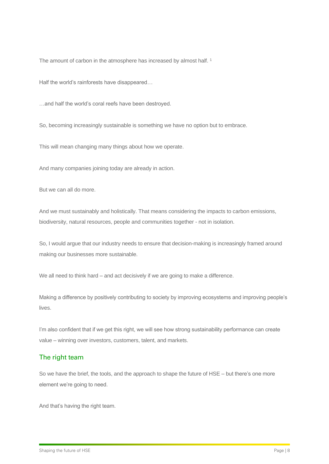The amount of carbon in the atmosphere has increased by almost half.<sup>1</sup>

Half the world's rainforests have disappeared…

…and half the world's coral reefs have been destroyed.

So, becoming increasingly sustainable is something we have no option but to embrace.

This will mean changing many things about how we operate.

And many companies joining today are already in action.

But we can all do more.

And we must sustainably and holistically. That means considering the impacts to carbon emissions, biodiversity, natural resources, people and communities together - not in isolation.

So, I would argue that our industry needs to ensure that decision-making is increasingly framed around making our businesses more sustainable.

We all need to think hard – and act decisively if we are going to make a difference.

Making a difference by positively contributing to society by improving ecosystems and improving people's lives.

I'm also confident that if we get this right, we will see how strong sustainability performance can create value – winning over investors, customers, talent, and markets.

#### The right team

So we have the brief, the tools, and the approach to shape the future of HSE – but there's one more element we're going to need.

And that's having the right team.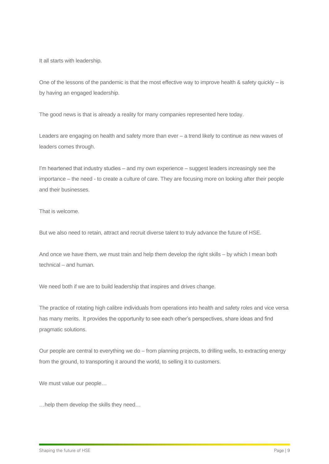It all starts with leadership.

One of the lessons of the pandemic is that the most effective way to improve health  $\&$  safety quickly – is by having an engaged leadership.

The good news is that is already a reality for many companies represented here today.

Leaders are engaging on health and safety more than ever – a trend likely to continue as new waves of leaders comes through.

I'm heartened that industry studies – and my own experience – suggest leaders increasingly see the importance – the need - to create a culture of care. They are focusing more on looking after their people and their businesses.

That is welcome.

But we also need to retain, attract and recruit diverse talent to truly advance the future of HSE.

And once we have them, we must train and help them develop the right skills – by which I mean both technical – and human.

We need both if we are to build leadership that inspires and drives change.

The practice of rotating high calibre individuals from operations into health and safety roles and vice versa has many merits. It provides the opportunity to see each other's perspectives, share ideas and find pragmatic solutions.

Our people are central to everything we do – from planning projects, to drilling wells, to extracting energy from the ground, to transporting it around the world, to selling it to customers.

We must value our people…

…help them develop the skills they need…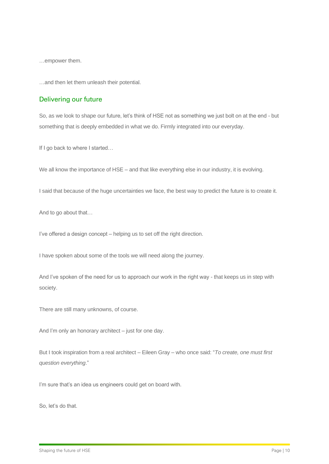…empower them.

…and then let them unleash their potential.

#### Delivering our future

So, as we look to shape our future, let's think of HSE not as something we just bolt on at the end - but something that is deeply embedded in what we do. Firmly integrated into our everyday.

If I go back to where I started...

We all know the importance of HSE – and that like everything else in our industry, it is evolving.

I said that because of the huge uncertainties we face, the best way to predict the future is to create it.

And to go about that…

I've offered a design concept – helping us to set off the right direction.

I have spoken about some of the tools we will need along the journey.

And I've spoken of the need for us to approach our work in the right way - that keeps us in step with society.

There are still many unknowns, of course.

And I'm only an honorary architect – just for one day.

But I took inspiration from a real architect – Eileen Gray – who once said: "*To create, one must first question everything*."

I'm sure that's an idea us engineers could get on board with.

So, let's do that.